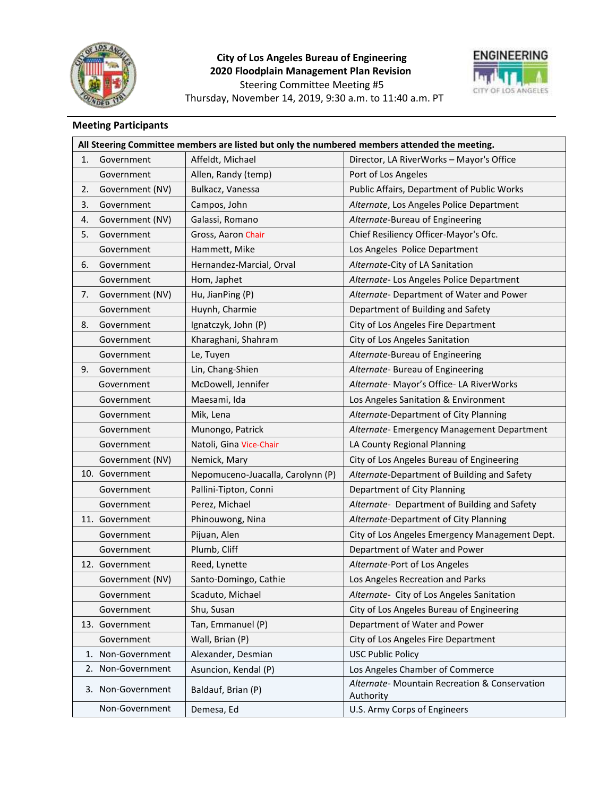

# **City of Los Angeles Bureau of Engineering 2020 Floodplain Management Plan Revision** Steering Committee Meeting #5 Thursday, November 14, 2019, 9:30 a.m. to 11:40 a.m. PT



# **Meeting Participants**

|    | All Steering Committee members are listed but only the numbered members attended the meeting. |                                   |                                                            |  |  |
|----|-----------------------------------------------------------------------------------------------|-----------------------------------|------------------------------------------------------------|--|--|
| 1. | Government                                                                                    | Affeldt, Michael                  | Director, LA RiverWorks - Mayor's Office                   |  |  |
|    | Government                                                                                    | Allen, Randy (temp)               | Port of Los Angeles                                        |  |  |
| 2. | Government (NV)                                                                               | Bulkacz, Vanessa                  | Public Affairs, Department of Public Works                 |  |  |
| 3. | Government                                                                                    | Campos, John                      | Alternate, Los Angeles Police Department                   |  |  |
| 4. | Government (NV)                                                                               | Galassi, Romano                   | Alternate-Bureau of Engineering                            |  |  |
| 5. | Government                                                                                    | Gross, Aaron Chair                | Chief Resiliency Officer-Mayor's Ofc.                      |  |  |
|    | Government                                                                                    | Hammett, Mike                     | Los Angeles Police Department                              |  |  |
| 6. | Government                                                                                    | Hernandez-Marcial, Orval          | Alternate-City of LA Sanitation                            |  |  |
|    | Government                                                                                    | Hom, Japhet                       | Alternate- Los Angeles Police Department                   |  |  |
| 7. | Government (NV)                                                                               | Hu, JianPing (P)                  | Alternate-Department of Water and Power                    |  |  |
|    | Government                                                                                    | Huynh, Charmie                    | Department of Building and Safety                          |  |  |
| 8. | Government                                                                                    | Ignatczyk, John (P)               | City of Los Angeles Fire Department                        |  |  |
|    | Government                                                                                    | Kharaghani, Shahram               | City of Los Angeles Sanitation                             |  |  |
|    | Government                                                                                    | Le, Tuyen                         | Alternate-Bureau of Engineering                            |  |  |
| 9. | Government                                                                                    | Lin, Chang-Shien                  | Alternate- Bureau of Engineering                           |  |  |
|    | Government                                                                                    | McDowell, Jennifer                | Alternate- Mayor's Office- LA RiverWorks                   |  |  |
|    | Government                                                                                    | Maesami, Ida                      | Los Angeles Sanitation & Environment                       |  |  |
|    | Government                                                                                    | Mik, Lena                         | Alternate-Department of City Planning                      |  |  |
|    | Government                                                                                    | Munongo, Patrick                  | Alternate- Emergency Management Department                 |  |  |
|    | Government                                                                                    | Natoli, Gina Vice-Chair           | LA County Regional Planning                                |  |  |
|    | Government (NV)                                                                               | Nemick, Mary                      | City of Los Angeles Bureau of Engineering                  |  |  |
|    | 10. Government                                                                                | Nepomuceno-Juacalla, Carolynn (P) | Alternate-Department of Building and Safety                |  |  |
|    | Government                                                                                    | Pallini-Tipton, Conni             | Department of City Planning                                |  |  |
|    | Government                                                                                    | Perez, Michael                    | Alternate- Department of Building and Safety               |  |  |
|    | 11. Government                                                                                | Phinouwong, Nina                  | Alternate-Department of City Planning                      |  |  |
|    | Government                                                                                    | Pijuan, Alen                      | City of Los Angeles Emergency Management Dept.             |  |  |
|    | Government                                                                                    | Plumb, Cliff                      | Department of Water and Power                              |  |  |
|    | 12. Government                                                                                | Reed, Lynette                     | Alternate-Port of Los Angeles                              |  |  |
|    | Government (NV)                                                                               | Santo-Domingo, Cathie             | Los Angeles Recreation and Parks                           |  |  |
|    | Government                                                                                    | Scaduto, Michael                  | Alternate- City of Los Angeles Sanitation                  |  |  |
|    | Government                                                                                    | Shu, Susan                        | City of Los Angeles Bureau of Engineering                  |  |  |
|    | 13. Government                                                                                | Tan, Emmanuel (P)                 | Department of Water and Power                              |  |  |
|    | Government                                                                                    | Wall, Brian (P)                   | City of Los Angeles Fire Department                        |  |  |
|    | 1. Non-Government                                                                             | Alexander, Desmian                | <b>USC Public Policy</b>                                   |  |  |
|    | 2. Non-Government                                                                             | Asuncion, Kendal (P)              | Los Angeles Chamber of Commerce                            |  |  |
|    | 3. Non-Government                                                                             | Baldauf, Brian (P)                | Alternate- Mountain Recreation & Conservation<br>Authority |  |  |
|    | Non-Government                                                                                | Demesa, Ed                        | U.S. Army Corps of Engineers                               |  |  |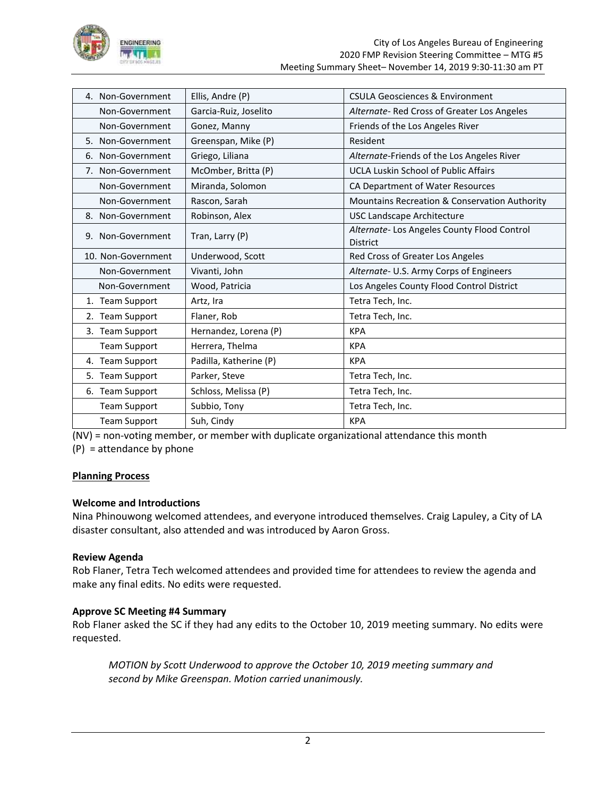

| 4. Non-Government   | Ellis, Andre (P)       | CSULA Geosciences & Environment                                |
|---------------------|------------------------|----------------------------------------------------------------|
| Non-Government      | Garcia-Ruiz, Joselito  | Alternate-Red Cross of Greater Los Angeles                     |
| Non-Government      | Gonez, Manny           | Friends of the Los Angeles River                               |
| 5. Non-Government   | Greenspan, Mike (P)    | Resident                                                       |
| 6. Non-Government   | Griego, Liliana        | Alternate-Friends of the Los Angeles River                     |
| 7. Non-Government   | McOmber, Britta (P)    | <b>UCLA Luskin School of Public Affairs</b>                    |
| Non-Government      | Miranda, Solomon       | CA Department of Water Resources                               |
| Non-Government      | Rascon, Sarah          | Mountains Recreation & Conservation Authority                  |
| 8. Non-Government   | Robinson, Alex         | <b>USC Landscape Architecture</b>                              |
| 9. Non-Government   | Tran, Larry (P)        | Alternate- Los Angeles County Flood Control<br><b>District</b> |
| 10. Non-Government  | Underwood, Scott       | Red Cross of Greater Los Angeles                               |
| Non-Government      | Vivanti, John          | Alternate- U.S. Army Corps of Engineers                        |
| Non-Government      | Wood, Patricia         | Los Angeles County Flood Control District                      |
| 1. Team Support     | Artz, Ira              | Tetra Tech, Inc.                                               |
| 2. Team Support     | Flaner, Rob            | Tetra Tech, Inc.                                               |
| 3. Team Support     | Hernandez, Lorena (P)  | <b>KPA</b>                                                     |
| <b>Team Support</b> | Herrera, Thelma        | <b>KPA</b>                                                     |
| 4. Team Support     | Padilla, Katherine (P) | <b>KPA</b>                                                     |
| 5. Team Support     | Parker, Steve          | Tetra Tech, Inc.                                               |
| 6. Team Support     | Schloss, Melissa (P)   | Tetra Tech, Inc.                                               |
| <b>Team Support</b> | Subbio, Tony           | Tetra Tech, Inc.                                               |
| <b>Team Support</b> | Suh, Cindy             | <b>KPA</b>                                                     |

(NV) = non-voting member, or member with duplicate organizational attendance this month

(P) = attendance by phone

# **Planning Process**

# **Welcome and Introductions**

Nina Phinouwong welcomed attendees, and everyone introduced themselves. Craig Lapuley, a City of LA disaster consultant, also attended and was introduced by Aaron Gross.

# **Review Agenda**

Rob Flaner, Tetra Tech welcomed attendees and provided time for attendees to review the agenda and make any final edits. No edits were requested.

# **Approve SC Meeting #4 Summary**

Rob Flaner asked the SC if they had any edits to the October 10, 2019 meeting summary. No edits were requested.

*MOTION by Scott Underwood to approve the October 10, 2019 meeting summary and second by Mike Greenspan. Motion carried unanimously.*